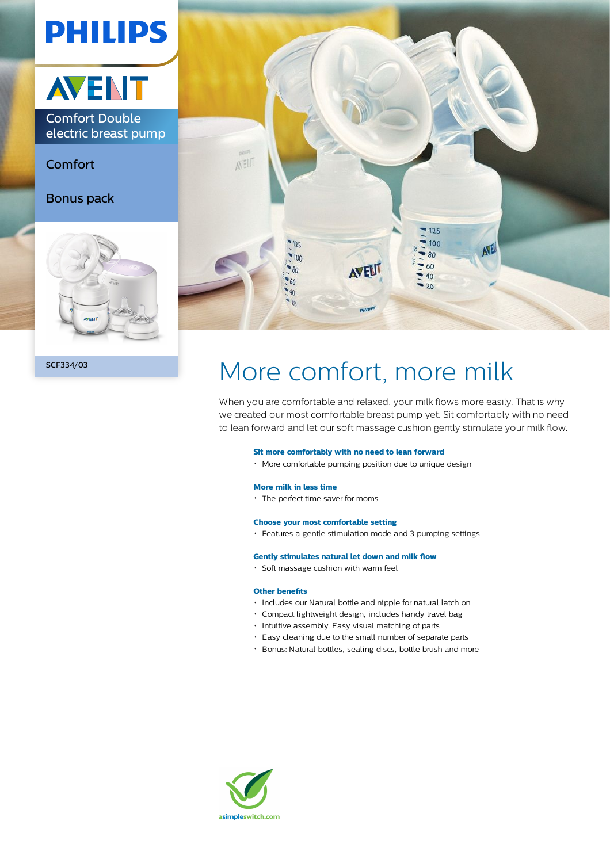

# SCF334/03 More comfort, more milk

When you are comfortable and relaxed, your milk flows more easily. That is why we created our most comfortable breast pump yet: Sit comfortably with no need to lean forward and let our soft massage cushion gently stimulate your milk flow.

#### **Sit more comfortably with no need to lean forward**

More comfortable pumping position due to unique design

# **More milk in less time**

The perfect time saver for moms

### **Choose your most comfortable setting**

Features a gentle stimulation mode and 3 pumping settings

### **Gently stimulates natural let down and milk flow**

Soft massage cushion with warm feel

# **Other benefits**

- Includes our Natural bottle and nipple for natural latch on
- Compact lightweight design, includes handy travel bag
- Intuitive assembly. Easy visual matching of parts
- Easy cleaning due to the small number of separate parts
- Bonus: Natural bottles, sealing discs, bottle brush and more

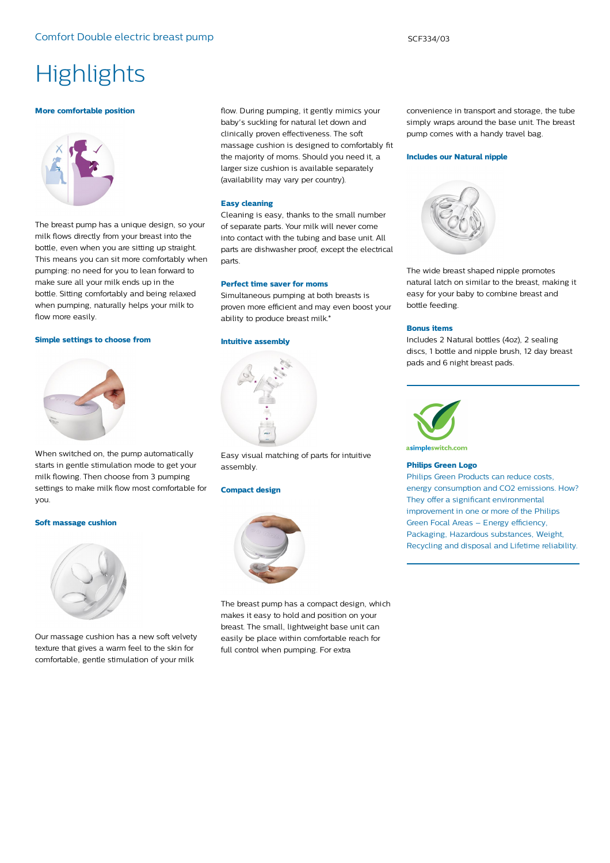# **Highlights**

#### **More comfortable position**



The breast pump has a unique design, so your milk flows directly from your breast into the bottle, even when you are sitting up straight. This means you can sit more comfortably when pumping: no need for you to lean forward to make sure all your milk ends up in the bottle. Sitting comfortably and being relaxed when pumping, naturally helps your milk to flow more easily.

#### **Simple settings to choose from**



When switched on, the pump automatically starts in gentle stimulation mode to get your milk flowing. Then choose from 3 pumping settings to make milk flow most comfortable for you.

#### **Soft massage cushion**



Our massage cushion has a new soft velvety texture that gives a warm feel to the skin for comfortable, gentle stimulation of your milk

flow. During pumping, it gently mimics your baby's suckling for natural let down and clinically proven effectiveness. The soft massage cushion is designed to comfortably fit the majority of moms. Should you need it, a larger size cushion is available separately (availability may vary per country).

#### **Easy cleaning**

Cleaning is easy, thanks to the small number of separate parts. Your milk will never come into contact with the tubing and base unit. All parts are dishwasher proof, except the electrical parts.

#### **Perfect time saver for moms**

Simultaneous pumping at both breasts is proven more efficient and may even boost your ability to produce breast milk.\*

#### **Intuitive assembly**



Easy visual matching of parts for intuitive assembly.

#### **Compact design**



The breast pump has a compact design, which makes it easy to hold and position on your breast. The small, lightweight base unit can easily be place within comfortable reach for full control when pumping. For extra

convenience in transport and storage, the tube simply wraps around the base unit. The breast pump comes with a handy travel bag.

#### **Includes our Natural nipple**



The wide breast shaped nipple promotes natural latch on similar to the breast, making it easy for your baby to combine breast and bottle feeding.

#### **Bonus items**

Includes 2 Natural bottles (4oz), 2 sealing discs, 1 bottle and nipple brush, 12 day breast pads and 6 night breast pads.



# **Philips Green Logo**

Philips Green Products can reduce costs, energy consumption and CO2 emissions. How? They offer a significant environmental improvement in one or more of the Philips Green Focal Areas – Energy efficiency, Packaging, Hazardous substances, Weight, Recycling and disposal and Lifetime reliability.